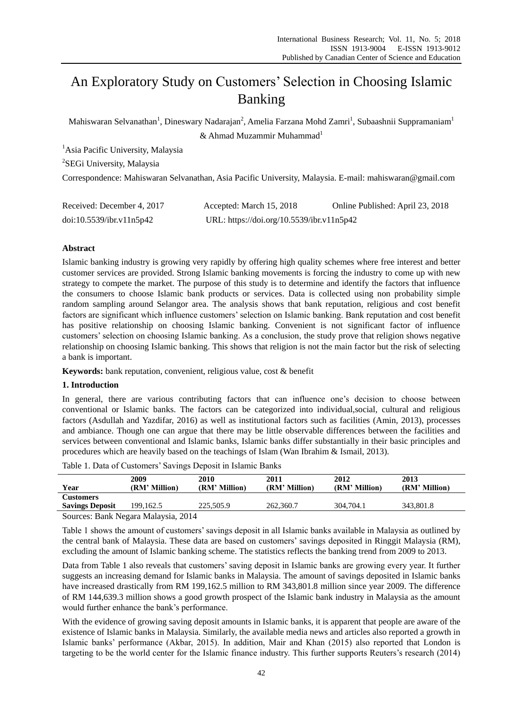# An Exploratory Study on Customers' Selection in Choosing Islamic Banking

Mahiswaran Selvanathan $^{\rm l}$ , Dineswary Nadarajan $^{\rm 2}$ , Amelia Farzana Mohd Zamri $^{\rm l}$ , Subaashnii Suppramaniam $^{\rm l}$  $&$  Ahmad Muzammir Muhammad<sup>1</sup>

<sup>1</sup>Asia Pacific University, Malaysia

<sup>2</sup>SEGi University, Malaysia

Correspondence: Mahiswaran Selvanathan, Asia Pacific University, Malaysia. E-mail: mahiswaran@gmail.com

| Received: December 4, 2017 | Accepted: March 15, 2018                  | Online Published: April 23, 2018 |
|----------------------------|-------------------------------------------|----------------------------------|
| doi:10.5539/ibr.v11n5p42   | URL: https://doi.org/10.5539/ibr.v11n5p42 |                                  |

# **Abstract**

Islamic banking industry is growing very rapidly by offering high quality schemes where free interest and better customer services are provided. Strong Islamic banking movements is forcing the industry to come up with new strategy to compete the market. The purpose of this study is to determine and identify the factors that influence the consumers to choose Islamic bank products or services. Data is collected using non probability simple random sampling around Selangor area. The analysis shows that bank reputation, religious and cost benefit factors are significant which influence customers' selection on Islamic banking. Bank reputation and cost benefit has positive relationship on choosing Islamic banking. Convenient is not significant factor of influence customers' selection on choosing Islamic banking. As a conclusion, the study prove that religion shows negative relationship on choosing Islamic banking. This shows that religion is not the main factor but the risk of selecting a bank is important.

**Keywords:** bank reputation, convenient, religious value, cost & benefit

# **1. Introduction**

In general, there are various contributing factors that can influence one's decision to choose between conventional or Islamic banks. The factors can be categorized into individual,social, cultural and religious factors (Asdullah and Yazdifar, 2016) as well as institutional factors such as facilities (Amin, 2013), processes and ambiance. Though one can argue that there may be little observable differences between the facilities and services between conventional and Islamic banks, Islamic banks differ substantially in their basic principles and procedures which are heavily based on the teachings of Islam (Wan Ibrahim & Ismail, 2013).

| Year                               | 2009<br>(RM' Million) | 2010<br>(RM' Million) | 2011<br>(RM' Million) | 2012<br>(RM' Million) | 2013<br>(RM' Million) |
|------------------------------------|-----------------------|-----------------------|-----------------------|-----------------------|-----------------------|
| <b>Customers</b>                   |                       |                       |                       |                       |                       |
| <b>Savings Deposit</b>             | 199.162.5             | 225,505.9             | 262,360.7             | 304.704.1             | 343.801.8             |
| Samora Daul, Magang Malaysia, 2014 |                       |                       |                       |                       |                       |

Table 1. Data of Customers' Savings Deposit in Islamic Banks

Sources: Bank Negara Malaysia, 2014

Table 1 shows the amount of customers' savings deposit in all Islamic banks available in Malaysia as outlined by the central bank of Malaysia. These data are based on customers' savings deposited in Ringgit Malaysia (RM), excluding the amount of Islamic banking scheme. The statistics reflects the banking trend from 2009 to 2013.

Data from Table 1 also reveals that customers' saving deposit in Islamic banks are growing every year. It further suggests an increasing demand for Islamic banks in Malaysia. The amount of savings deposited in Islamic banks have increased drastically from RM 199,162.5 million to RM 343,801.8 million since year 2009. The difference of RM 144,639.3 million shows a good growth prospect of the Islamic bank industry in Malaysia as the amount would further enhance the bank's performance.

With the evidence of growing saving deposit amounts in Islamic banks, it is apparent that people are aware of the existence of Islamic banks in Malaysia. Similarly, the available media news and articles also reported a growth in Islamic banks' performance (Akbar, 2015). In addition, Mair and Khan (2015) also reported that London is targeting to be the world center for the Islamic finance industry. This further supports Reuters's research (2014)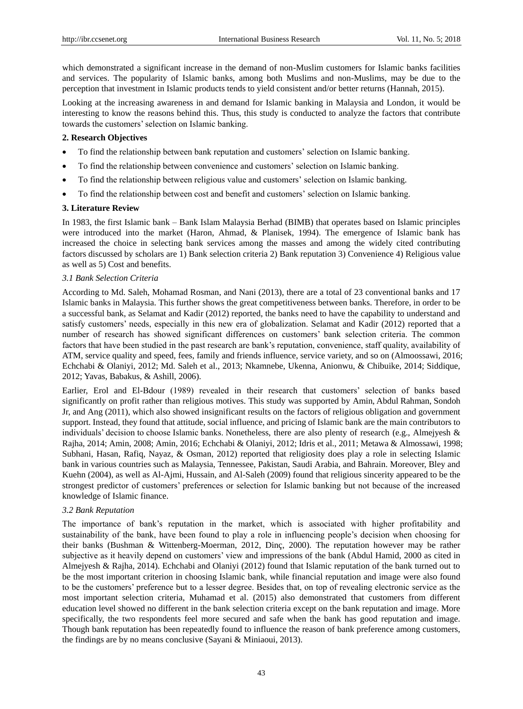which demonstrated a significant increase in the demand of non-Muslim customers for Islamic banks facilities and services. The popularity of Islamic banks, among both Muslims and non-Muslims, may be due to the perception that investment in Islamic products tends to yield consistent and/or better returns (Hannah, 2015).

Looking at the increasing awareness in and demand for Islamic banking in Malaysia and London, it would be interesting to know the reasons behind this. Thus, this study is conducted to analyze the factors that contribute towards the customers' selection on Islamic banking.

# **2. Research Objectives**

- To find the relationship between bank reputation and customers' selection on Islamic banking.
- To find the relationship between convenience and customers' selection on Islamic banking.
- To find the relationship between religious value and customers' selection on Islamic banking.
- To find the relationship between cost and benefit and customers' selection on Islamic banking.

# **3. Literature Review**

In 1983, the first Islamic bank – Bank Islam Malaysia Berhad (BIMB) that operates based on Islamic principles were introduced into the market (Haron, Ahmad, & Planisek, 1994). The emergence of Islamic bank has increased the choice in selecting bank services among the masses and among the widely cited contributing factors discussed by scholars are 1) Bank selection criteria 2) Bank reputation 3) Convenience 4) Religious value as well as 5) Cost and benefits.

# *3.1 Bank Selection Criteria*

According to Md. Saleh, Mohamad Rosman, and Nani (2013), there are a total of 23 conventional banks and 17 Islamic banks in Malaysia. This further shows the great competitiveness between banks. Therefore, in order to be a successful bank, as Selamat and Kadir (2012) reported, the banks need to have the capability to understand and satisfy customers' needs, especially in this new era of globalization. Selamat and Kadir (2012) reported that a number of research has showed significant differences on customers' bank selection criteria. The common factors that have been studied in the past research are bank's reputation, convenience, staff quality, availability of ATM, service quality and speed, fees, family and friends influence, service variety, and so on (Almoossawi, 2016; Echchabi & Olaniyi, 2012; Md. Saleh et al., 2013; Nkamnebe, Ukenna, Anionwu, & Chibuike, 2014; Siddique, 2012; Yavas, Babakus, & Ashill, 2006).

Earlier, Erol and El-Bdour (1989) revealed in their research that customers' selection of banks based significantly on profit rather than religious motives. This study was supported by Amin, Abdul Rahman, Sondoh Jr, and Ang (2011), which also showed insignificant results on the factors of religious obligation and government support. Instead, they found that attitude, social influence, and pricing of Islamic bank are the main contributors to individuals' decision to choose Islamic banks. Nonetheless, there are also plenty of research (e.g., Almejyesh & Rajha, 2014; Amin, 2008; Amin, 2016; Echchabi & Olaniyi, 2012; Idris et al., 2011; Metawa & Almossawi, 1998; Subhani, Hasan, Rafiq, Nayaz, & Osman, 2012) reported that religiosity does play a role in selecting Islamic bank in various countries such as Malaysia, Tennessee, Pakistan, Saudi Arabia, and Bahrain. Moreover, Bley and Kuehn (2004), as well as Al-Ajmi, Hussain, and Al-Saleh (2009) found that religious sincerity appeared to be the strongest predictor of customers' preferences or selection for Islamic banking but not because of the increased knowledge of Islamic finance.

## *3.2 Bank Reputation*

The importance of bank's reputation in the market, which is associated with higher profitability and sustainability of the bank, have been found to play a role in influencing people's decision when choosing for their banks (Bushman & Wittenberg-Moerman, 2012, Dinç, 2000). The reputation however may be rather subjective as it heavily depend on customers' view and impressions of the bank (Abdul Hamid, 2000 as cited in Almejyesh & Rajha, 2014). Echchabi and Olaniyi (2012) found that Islamic reputation of the bank turned out to be the most important criterion in choosing Islamic bank, while financial reputation and image were also found to be the customers' preference but to a lesser degree. Besides that, on top of revealing electronic service as the most important selection criteria, Muhamad et al. (2015) also demonstrated that customers from different education level showed no different in the bank selection criteria except on the bank reputation and image. More specifically, the two respondents feel more secured and safe when the bank has good reputation and image. Though bank reputation has been repeatedly found to influence the reason of bank preference among customers, the findings are by no means conclusive (Sayani & Miniaoui, 2013).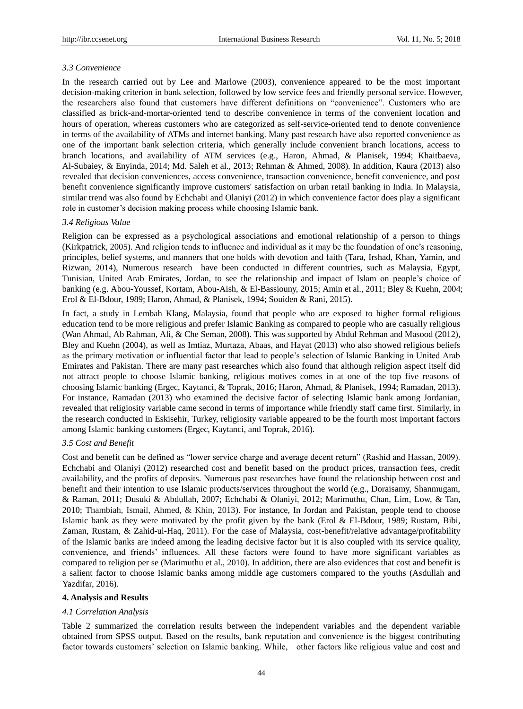#### *3.3 Convenience*

In the research carried out by Lee and Marlowe (2003), convenience appeared to be the most important decision-making criterion in bank selection, followed by low service fees and friendly personal service. However, the researchers also found that customers have different definitions on "convenience". Customers who are classified as brick-and-mortar-oriented tend to describe convenience in terms of the convenient location and hours of operation, whereas customers who are categorized as self-service-oriented tend to denote convenience in terms of the availability of ATMs and internet banking. Many past research have also reported convenience as one of the important bank selection criteria, which generally include convenient branch locations, access to branch locations, and availability of ATM services (e.g., Haron, Ahmad, & Planisek, 1994; Khaitbaeva, Al-Subaiey, & Enyinda, 2014; Md. Saleh et al., 2013; Rehman & Ahmed, 2008). In addition, Kaura (2013) also revealed that decision conveniences, access convenience, transaction convenience, benefit convenience, and post benefit convenience significantly improve customers' satisfaction on urban retail banking in India. In Malaysia, similar trend was also found by Echchabi and Olaniyi (2012) in which convenience factor does play a significant role in customer's decision making process while choosing Islamic bank.

#### *3.4 Religious Value*

Religion can be expressed as a psychological associations and emotional relationship of a person to things (Kirkpatrick, 2005). And religion tends to influence and individual as it may be the foundation of one's reasoning, principles, belief systems, and manners that one holds with devotion and faith (Tara, Irshad, Khan, Yamin, and Rizwan, 2014), Numerous research have been conducted in different countries, such as Malaysia, Egypt, Tunisian, United Arab Emirates, Jordan, to see the relationship and impact of Islam on people's choice of banking (e.g. Abou-Youssef, Kortam, Abou-Aish, & El-Bassiouny, 2015; Amin et al., 2011; Bley & Kuehn, 2004; Erol & El-Bdour, 1989; Haron, Ahmad, & Planisek, 1994; Souiden & Rani, 2015).

In fact, a study in Lembah Klang, Malaysia, found that people who are exposed to higher formal religious education tend to be more religious and prefer Islamic Banking as compared to people who are casually religious (Wan Ahmad, Ab Rahman, Ali, & Che Seman, 2008). This was supported by Abdul Rehman and Masood (2012), Bley and Kuehn (2004), as well as Imtiaz, Murtaza, Abaas, and Hayat (2013) who also showed religious beliefs as the primary motivation or influential factor that lead to people's selection of Islamic Banking in United Arab Emirates and Pakistan. There are many past researches which also found that although religion aspect itself did not attract people to choose Islamic banking, religious motives comes in at one of the top five reasons of choosing Islamic banking (Ergec, Kaytanci, & Toprak, 2016; Haron, Ahmad, & Planisek, 1994; Ramadan, 2013). For instance, Ramadan (2013) who examined the decisive factor of selecting Islamic bank among Jordanian, revealed that religiosity variable came second in terms of importance while friendly staff came first. Similarly, in the research conducted in Eskisehir, Turkey, religiosity variable appeared to be the fourth most important factors among Islamic banking customers (Ergec, Kaytanci, and Toprak, 2016).

# *3.5 Cost and Benefit*

Cost and benefit can be defined as "lower service charge and average decent return" (Rashid and Hassan, 2009). Echchabi and Olaniyi (2012) researched cost and benefit based on the product prices, transaction fees, credit availability, and the profits of deposits. Numerous past researches have found the relationship between cost and benefit and their intention to use Islamic products/services throughout the world (e.g., Doraisamy, Shanmugam, & Raman, 2011; Dusuki & Abdullah, 2007; Echchabi & Olaniyi, 2012; Marimuthu, Chan, Lim, Low, & Tan, 2010; Thambiah, Ismail, Ahmed, & Khin, 2013). For instance, In Jordan and Pakistan, people tend to choose Islamic bank as they were motivated by the profit given by the bank (Erol & El-Bdour, 1989; Rustam, Bibi, Zaman, Rustam, & Zahid-ul-Haq, 2011). For the case of Malaysia, cost-benefit/relative advantage/profitability of the Islamic banks are indeed among the leading decisive factor but it is also coupled with its service quality, convenience, and friends' influences. All these factors were found to have more significant variables as compared to religion per se (Marimuthu et al., 2010). In addition, there are also evidences that cost and benefit is a salient factor to choose Islamic banks among middle age customers compared to the youths (Asdullah and Yazdifar, 2016).

#### **4. Analysis and Results**

#### *4.1 Correlation Analysis*

Table 2 summarized the correlation results between the independent variables and the dependent variable obtained from SPSS output. Based on the results, bank reputation and convenience is the biggest contributing factor towards customers' selection on Islamic banking. While, other factors like religious value and cost and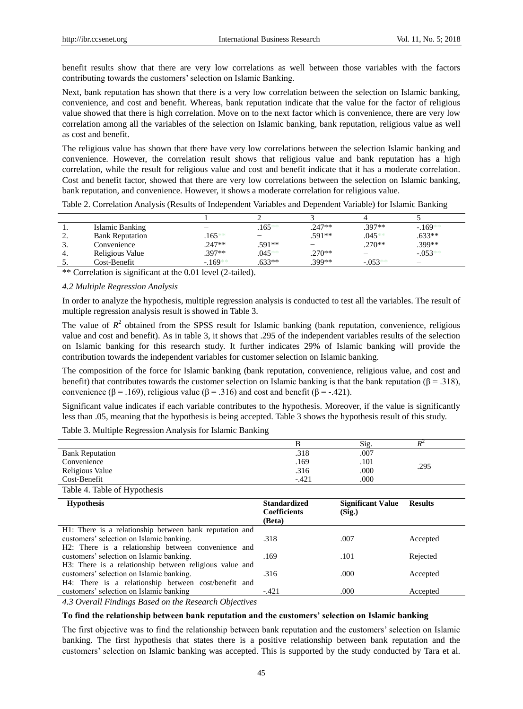benefit results show that there are very low correlations as well between those variables with the factors contributing towards the customers' selection on Islamic Banking.

Next, bank reputation has shown that there is a very low correlation between the selection on Islamic banking, convenience, and cost and benefit. Whereas, bank reputation indicate that the value for the factor of religious value showed that there is high correlation. Move on to the next factor which is convenience, there are very low correlation among all the variables of the selection on Islamic banking, bank reputation, religious value as well as cost and benefit.

The religious value has shown that there have very low correlations between the selection Islamic banking and convenience. However, the correlation result shows that religious value and bank reputation has a high correlation, while the result for religious value and cost and benefit indicate that it has a moderate correlation. Cost and benefit factor, showed that there are very low correlations between the selection on Islamic banking, bank reputation, and convenience. However, it shows a moderate correlation for religious value.

Table 2. Correlation Analysis (Results of Independent Variables and Dependent Variable) for Islamic Banking

| . .      | Islamic Banking        |          | $.165***$ | .247**   | $.397**$   | $-169**$                 |
|----------|------------------------|----------|-----------|----------|------------|--------------------------|
| <u>.</u> | <b>Bank Reputation</b> | $.165**$ |           | .591**   | $.045**$   | $.633**$                 |
| . د      | Convenience            | .247**   | .591**    |          | $.270**$   | .399**                   |
| 4.       | Religious Value        | .397**   | $.045**$  | $.270**$ | -          | $-0.053**$               |
| D.       | Cost-Benefit           | $-169**$ | $.633**$  | $.399**$ | $-0.053**$ | $\overline{\phantom{a}}$ |

\*\* Correlation is significant at the 0.01 level (2-tailed).

## *4.2 Multiple Regression Analysis*

In order to analyze the hypothesis, multiple regression analysis is conducted to test all the variables. The result of multiple regression analysis result is showed in Table 3.

The value of  $R<sup>2</sup>$  obtained from the SPSS result for Islamic banking (bank reputation, convenience, religious value and cost and benefit). As in table 3, it shows that .295 of the independent variables results of the selection on Islamic banking for this research study. It further indicates 29% of Islamic banking will provide the contribution towards the independent variables for customer selection on Islamic banking.

The composition of the force for Islamic banking (bank reputation, convenience, religious value, and cost and benefit) that contributes towards the customer selection on Islamic banking is that the bank reputation ( $\beta = .318$ ), convenience ( $\beta = .169$ ), religious value ( $\beta = .316$ ) and cost and benefit ( $\beta = .421$ ).

Significant value indicates if each variable contributes to the hypothesis. Moreover, if the value is significantly less than .05, meaning that the hypothesis is being accepted. Table 3 shows the hypothesis result of this study.

Table 3. Multiple Regression Analysis for Islamic Banking

|                             |       | Sig. |      |  |
|-----------------------------|-------|------|------|--|
| <b>Bank Reputation</b>      | .318  | .007 |      |  |
| Convenience                 | .169  | .101 | .295 |  |
| Religious Value             | .316  | .000 |      |  |
| Cost-Benefit                | -.421 | .000 |      |  |
| Table 4 Table of Hypothesis |       |      |      |  |

| $10010$ $\ldots$ $20010$ $\ldots$ $2000$                |                                                      |                                    |                |
|---------------------------------------------------------|------------------------------------------------------|------------------------------------|----------------|
| <b>Hypothesis</b>                                       | <b>Standardized</b><br><b>Coefficients</b><br>(Beta) | <b>Significant Value</b><br>(Sig.) | <b>Results</b> |
|                                                         |                                                      |                                    |                |
| H1: There is a relationship between bank reputation and |                                                      |                                    |                |
| customers' selection on Islamic banking.                | .318                                                 | .007                               | Accepted       |
| H2: There is a relationship between convenience and     |                                                      |                                    |                |
| customers' selection on Islamic banking.                | .169                                                 | .101                               | Rejected       |
| H3: There is a relationship between religious value and |                                                      |                                    |                |
|                                                         |                                                      |                                    |                |
| customers' selection on Islamic banking.                | .316                                                 | .000                               | Accepted       |
| H4: There is a relationship between cost/benefit and    |                                                      |                                    |                |
| customers' selection on Islamic banking                 | $-.421$                                              | .000                               | Accepted       |
| $\cdots$                                                |                                                      |                                    |                |

*4.3 Overall Findings Based on the Research Objectives*

## **To find the relationship between bank reputation and the customers' selection on Islamic banking**

The first objective was to find the relationship between bank reputation and the customers' selection on Islamic banking. The first hypothesis that states there is a positive relationship between bank reputation and the customers' selection on Islamic banking was accepted. This is supported by the study conducted by Tara et al.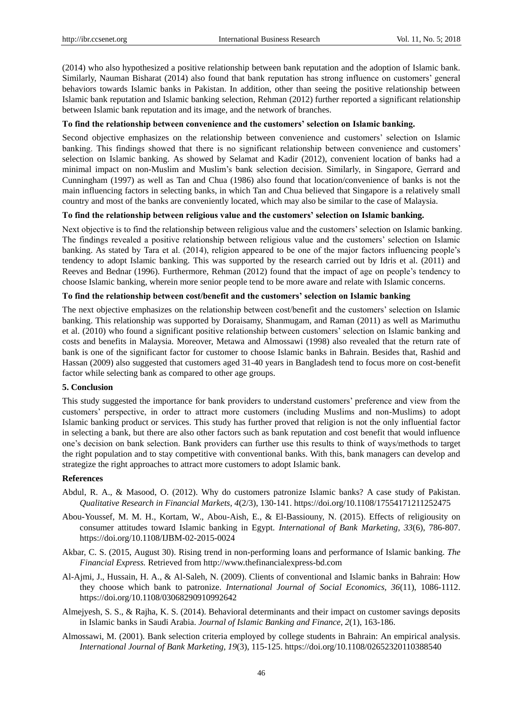(2014) who also hypothesized a positive relationship between bank reputation and the adoption of Islamic bank. Similarly, Nauman Bisharat (2014) also found that bank reputation has strong influence on customers' general behaviors towards Islamic banks in Pakistan. In addition, other than seeing the positive relationship between Islamic bank reputation and Islamic banking selection, Rehman (2012) further reported a significant relationship between Islamic bank reputation and its image, and the network of branches.

# **To find the relationship between convenience and the customers' selection on Islamic banking.**

Second objective emphasizes on the relationship between convenience and customers' selection on Islamic banking. This findings showed that there is no significant relationship between convenience and customers' selection on Islamic banking. As showed by Selamat and Kadir (2012), convenient location of banks had a minimal impact on non-Muslim and Muslim's bank selection decision. Similarly, in Singapore, Gerrard and Cunningham (1997) as well as Tan and Chua (1986) also found that location/convenience of banks is not the main influencing factors in selecting banks, in which Tan and Chua believed that Singapore is a relatively small country and most of the banks are conveniently located, which may also be similar to the case of Malaysia.

# **To find the relationship between religious value and the customers' selection on Islamic banking.**

Next objective is to find the relationship between religious value and the customers' selection on Islamic banking. The findings revealed a positive relationship between religious value and the customers' selection on Islamic banking. As stated by Tara et al. (2014), religion appeared to be one of the major factors influencing people's tendency to adopt Islamic banking. This was supported by the research carried out by Idris et al. (2011) and Reeves and Bednar (1996). Furthermore, Rehman (2012) found that the impact of age on people's tendency to choose Islamic banking, wherein more senior people tend to be more aware and relate with Islamic concerns.

# **To find the relationship between cost/benefit and the customers' selection on Islamic banking**

The next objective emphasizes on the relationship between cost/benefit and the customers' selection on Islamic banking. This relationship was supported by Doraisamy, Shanmugam, and Raman (2011) as well as Marimuthu et al. (2010) who found a significant positive relationship between customers' selection on Islamic banking and costs and benefits in Malaysia. Moreover, Metawa and Almossawi (1998) also revealed that the return rate of bank is one of the significant factor for customer to choose Islamic banks in Bahrain. Besides that, Rashid and Hassan (2009) also suggested that customers aged 31-40 years in Bangladesh tend to focus more on cost-benefit factor while selecting bank as compared to other age groups.

## **5. Conclusion**

This study suggested the importance for bank providers to understand customers' preference and view from the customers' perspective, in order to attract more customers (including Muslims and non-Muslims) to adopt Islamic banking product or services. This study has further proved that religion is not the only influential factor in selecting a bank, but there are also other factors such as bank reputation and cost benefit that would influence one's decision on bank selection. Bank providers can further use this results to think of ways/methods to target the right population and to stay competitive with conventional banks. With this, bank managers can develop and strategize the right approaches to attract more customers to adopt Islamic bank.

## **References**

- Abdul, R. A., & Masood, O. (2012). Why do customers patronize Islamic banks? A case study of Pakistan. *Qualitative Research in Financial Markets, 4*(2/3), 130-141. https://doi.org/10.1108/17554171211252475
- Abou-Youssef, M. M. H., Kortam, W., Abou-Aish, E., & El-Bassiouny, N. (2015). Effects of religiousity on consumer attitudes toward Islamic banking in Egypt. *International of Bank Marketing, 33*(6), 786-807. https://doi.org/10.1108/IJBM-02-2015-0024
- Akbar, C. S. (2015, August 30). Rising trend in non-performing loans and performance of Islamic banking. *The Financial Express.* Retrieved from http://www.thefinancialexpress-bd.com
- Al-Ajmi, J., Hussain, H. A., & Al-Saleh, N. (2009). Clients of conventional and Islamic banks in Bahrain: How they choose which bank to patronize. *International Journal of Social Economics, 36*(11), 1086-1112. https://doi.org/10.1108/03068290910992642
- Almejyesh, S. S., & Rajha, K. S. (2014). Behavioral determinants and their impact on customer savings deposits in Islamic banks in Saudi Arabia. *Journal of Islamic Banking and Finance*, *2*(1), 163-186.
- Almossawi, M. (2001). Bank selection criteria employed by college students in Bahrain: An empirical analysis. *International Journal of Bank Marketing, 19*(3), 115-125. https://doi.org/10.1108/02652320110388540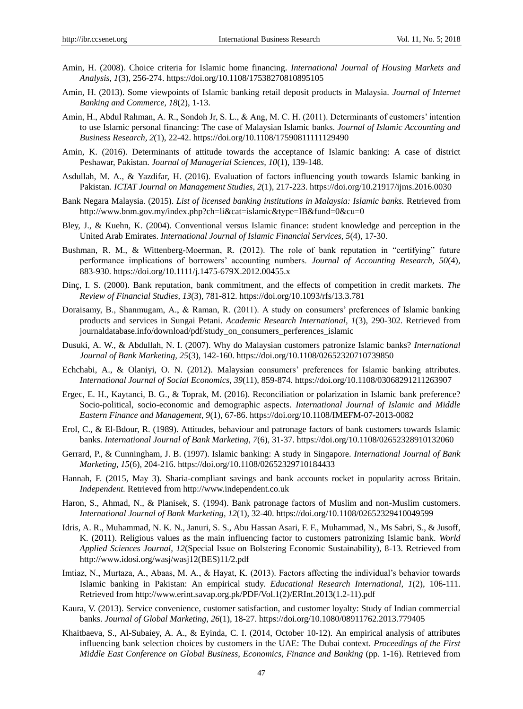- Amin, H. (2008). Choice criteria for Islamic home financing. *International Journal of Housing Markets and Analysis, 1*(3), 256-274. https://doi.org/10.1108/17538270810895105
- Amin, H. (2013). Some viewpoints of Islamic banking retail deposit products in Malaysia. *Journal of Internet Banking and Commerce, 18*(2), 1-13.
- Amin, H., Abdul Rahman, A. R., Sondoh Jr, S. L., & Ang, M. C. H. (2011). Determinants of customers' intention to use Islamic personal financing: The case of Malaysian Islamic banks. *Journal of Islamic Accounting and Business Research, 2*(1), 22-42. https://doi.org/10.1108/17590811111129490
- Amin, K. (2016). Determinants of attitude towards the acceptance of Islamic banking: A case of district Peshawar, Pakistan. *Journal of Managerial Sciences, 10*(1), 139-148.
- Asdullah, M. A., & Yazdifar, H. (2016). Evaluation of factors influencing youth towards Islamic banking in Pakistan. *ICTAT Journal on Management Studies, 2*(1), 217-223. https://doi.org/10.21917/ijms.2016.0030
- Bank Negara Malaysia. (2015). *List of licensed banking institutions in Malaysia: Islamic banks.* Retrieved from http://www.bnm.gov.my/index.php?ch=li&cat=islamic&type=IB&fund=0&cu=0
- Bley, J., & Kuehn, K. (2004). Conventional versus Islamic finance: student knowledge and perception in the United Arab Emirates. *International Journal of Islamic Financial Services, 5*(4), 17-30.
- Bushman, R. M., & Wittenberg-Moerman, R. (2012). The role of bank reputation in "certifying" future performance implications of borrowers' accounting numbers. *Journal of Accounting Research, 50*(4), 883-930. https://doi.org/10.1111/j.1475-679X.2012.00455.x
- Dinç, I. S. (2000). Bank reputation, bank commitment, and the effects of competition in credit markets. *The Review of Financial Studies, 13*(3), 781-812. https://doi.org/10.1093/rfs/13.3.781
- Doraisamy, B., Shanmugam, A., & Raman, R. (2011). A study on consumers' preferences of Islamic banking products and services in Sungai Petani. *Academic Research International, 1*(3), 290-302. Retrieved from journaldatabase.info/download/pdf/study\_on\_consumers\_perferences\_islamic
- Dusuki, A. W., & Abdullah, N. I. (2007). Why do Malaysian customers patronize Islamic banks? *International Journal of Bank Marketing, 25*(3), 142-160. https://doi.org/10.1108/02652320710739850
- Echchabi, A., & Olaniyi, O. N. (2012). Malaysian consumers' preferences for Islamic banking attributes. *International Journal of Social Economics, 39*(11), 859-874. https://doi.org/10.1108/03068291211263907
- Ergec, E. H., Kaytanci, B. G., & Toprak, M. (2016). Reconciliation or polarization in Islamic bank preference? Socio-political, socio-economic and demographic aspects. *International Journal of Islamic and Middle Eastern Finance and Management, 9*(1), 67-86. https://doi.org/10.1108/IMEFM-07-2013-0082
- Erol, C., & El-Bdour, R. (1989). Attitudes, behaviour and patronage factors of bank customers towards Islamic banks. *International Journal of Bank Marketing*, *7*(6), 31-37. https://doi.org/10.1108/02652328910132060
- Gerrard, P., & Cunningham, J. B. (1997). Islamic banking: A study in Singapore. *International Journal of Bank Marketing*, *15*(6), 204-216. https://doi.org/10.1108/02652329710184433
- Hannah, F. (2015, May 3). Sharia-compliant savings and bank accounts rocket in popularity across Britain. *Independent.* Retrieved from http://www.independent.co.uk
- Haron, S., Ahmad, N., & Planisek, S. (1994). Bank patronage factors of Muslim and non-Muslim customers. *International Journal of Bank Marketing, 12*(1), 32-40. https://doi.org/10.1108/02652329410049599
- Idris, A. R., Muhammad, N. K. N., Januri, S. S., Abu Hassan Asari, F. F., Muhammad, N., Ms Sabri, S., & Jusoff, K. (2011). Religious values as the main influencing factor to customers patronizing Islamic bank. *World Applied Sciences Journal, 12*(Special Issue on Bolstering Economic Sustainability), 8-13. Retrieved from http://www.idosi.org/wasj/wasj12(BES)11/2.pdf
- Imtiaz, N., Murtaza, A., Abaas, M. A., & Hayat, K. (2013). Factors affecting the individual's behavior towards Islamic banking in Pakistan: An empirical study. *Educational Research International, 1*(2), 106-111. Retrieved from http://www.erint.savap.org.pk/PDF/Vol.1(2)/ERInt.2013(1.2-11).pdf
- Kaura, V. (2013). Service convenience, customer satisfaction, and customer loyalty: Study of Indian commercial banks. *Journal of Global Marketing*, *26*(1), 18-27. https://doi.org/10.1080/08911762.2013.779405
- Khaitbaeva, S., Al-Subaiey, A. A., & Eyinda, C. I. (2014, October 10-12). An empirical analysis of attributes influencing bank selection choices by customers in the UAE: The Dubai context. *Proceedings of the First Middle East Conference on Global Business, Economics, Finance and Banking (pp. 1-16). Retrieved from*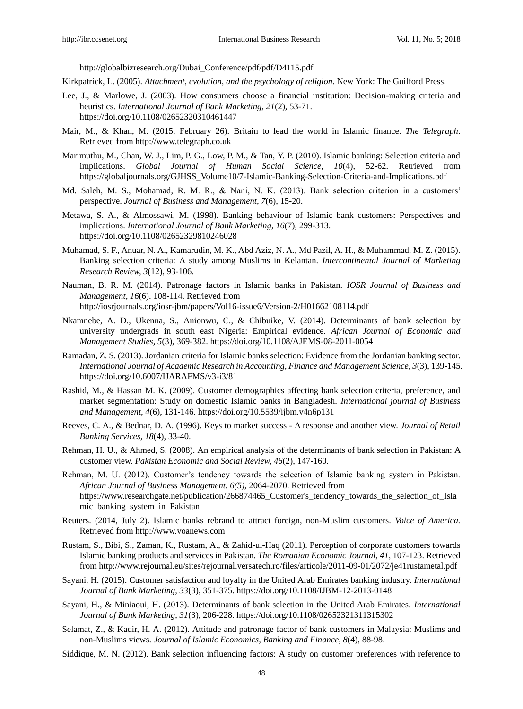http://globalbizresearch.org/Dubai\_Conference/pdf/pdf/D4115.pdf

- Kirkpatrick, L. (2005). *Attachment, evolution, and the psychology of religion*. New York: The Guilford Press.
- Lee, J., & Marlowe, J. (2003). How consumers choose a financial institution: Decision-making criteria and heuristics. *International Journal of Bank Marketing, 21*(2), 53-71. https://doi.org/10.1108/02652320310461447
- Mair, M., & Khan, M. (2015, February 26). Britain to lead the world in Islamic finance. *The Telegraph*. Retrieved from http://www.telegraph.co.uk
- Marimuthu, M., Chan, W. J., Lim, P. G., Low, P. M., & Tan, Y. P. (2010). Islamic banking: Selection criteria and implications. *Global Journal of Human Social Science, 10*(4), 52-62. Retrieved from https://globaljournals.org/GJHSS\_Volume10/7-Islamic-Banking-Selection-Criteria-and-Implications.pdf
- Md. Saleh, M. S., Mohamad, R. M. R., & Nani, N. K. (2013). Bank selection criterion in a customers' perspective. *Journal of Business and Management, 7*(6), 15-20.
- Metawa, S. A., & Almossawi, M. (1998). Banking behaviour of Islamic bank customers: Perspectives and implications. *International Journal of Bank Marketing, 16*(7), 299-313. https://doi.org/10.1108/02652329810246028
- Muhamad, S. F., Anuar, N. A., Kamarudin, M. K., Abd Aziz, N. A., Md Pazil, A. H., & Muhammad, M. Z. (2015). Banking selection criteria: A study among Muslims in Kelantan. *Intercontinental Journal of Marketing Research Review, 3*(12), 93-106.
- Nauman, B. R. M. (2014). Patronage factors in Islamic banks in Pakistan. *IOSR Journal of Business and Management, 16*(6). 108-114. Retrieved from http://iosrjournals.org/iosr-jbm/papers/Vol16-issue6/Version-2/H01662108114.pdf
- Nkamnebe, A. D., Ukenna, S., Anionwu, C., & Chibuike, V. (2014). Determinants of bank selection by university undergrads in south east Nigeria: Empirical evidence. *African Journal of Economic and Management Studies, 5*(3), 369-382. https://doi.org/10.1108/AJEMS-08-2011-0054
- Ramadan, Z. S. (2013). Jordanian criteria for Islamic banks selection: Evidence from the Jordanian banking sector. *International Journal of Academic Research in Accounting, Finance and Management Science, 3*(3), 139-145. https://doi.org/10.6007/IJARAFMS/v3-i3/81
- Rashid, M., & Hassan M. K. (2009). Customer demographics affecting bank selection criteria, preference, and market segmentation: Study on domestic Islamic banks in Bangladesh. *International journal of Business and Management, 4*(6), 131-146. https://doi.org/10.5539/ijbm.v4n6p131
- Reeves, C. A., & Bednar, D. A. (1996). Keys to market success A response and another view. *Journal of Retail Banking Services, 18*(4), 33-40.
- Rehman, H. U., & Ahmed, S. (2008). An empirical analysis of the determinants of bank selection in Pakistan: A customer view. *Pakistan Economic and Social Review, 46*(2), 147-160.
- Rehman, M. U. (2012). Customer's tendency towards the selection of Islamic banking system in Pakistan. *African Journal of Business Management. 6(5),* 2064-2070. Retrieved from https://www.researchgate.net/publication/266874465\_Customer's\_tendency\_towards\_the\_selection\_of\_Isla mic\_banking\_system\_in\_Pakistan
- Reuters. (2014, July 2). Islamic banks rebrand to attract foreign, non-Muslim customers. *Voice of America.*  Retrieved from http://www.voanews.com
- Rustam, S., Bibi, S., Zaman, K., Rustam, A., & Zahid-ul-Haq (2011). Perception of corporate customers towards Islamic banking products and services in Pakistan. *The Romanian Economic Journal, 41,* 107-123. Retrieved from http://www.rejournal.eu/sites/rejournal.versatech.ro/files/articole/2011-09-01/2072/je41rustametal.pdf
- Sayani, H. (2015). Customer satisfaction and loyalty in the United Arab Emirates banking industry. *International Journal of Bank Marketing, 33*(3), 351-375. https://doi.org/10.1108/IJBM-12-2013-0148
- Sayani, H., & Miniaoui, H. (2013). Determinants of bank selection in the United Arab Emirates. *International Journal of Bank Marketing*, *31*(3), 206-228. https://doi.org/10.1108/02652321311315302
- Selamat, Z., & Kadir, H. A. (2012). Attitude and patronage factor of bank customers in Malaysia: Muslims and non-Muslims views. *Journal of Islamic Economics, Banking and Finance, 8*(4), 88-98.
- Siddique, M. N. (2012). Bank selection influencing factors: A study on customer preferences with reference to